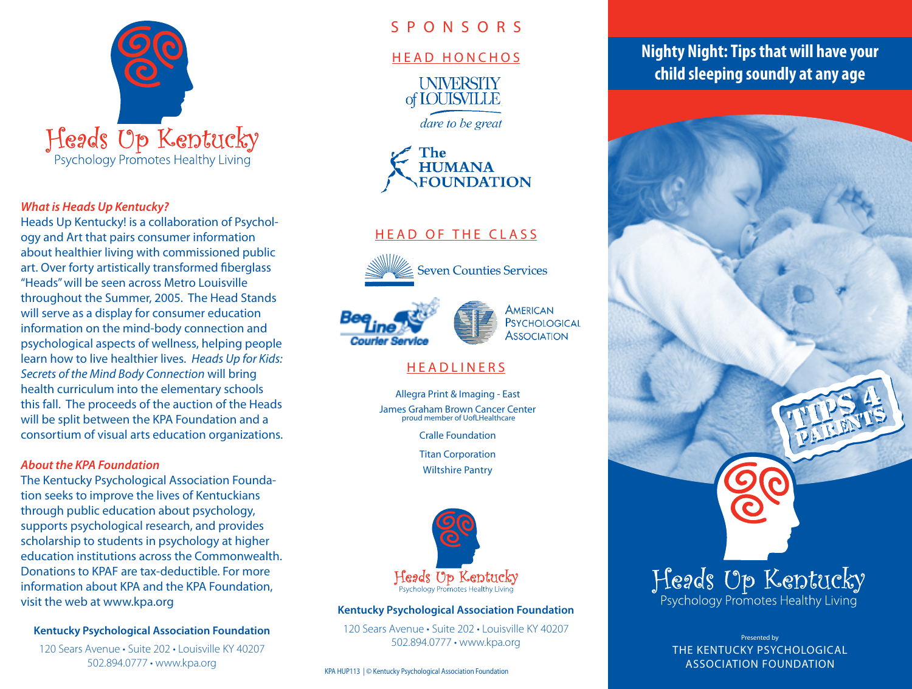

#### *What is Heads Up Kentucky?*

Heads Up Kentucky! is a collaboration of Psychology and Art that pairs consumer information about healthier living with commissioned public art. Over forty artistically transformed fiberglass "Heads" will be seen across Metro Louisville throughout the Summer, 2005. The Head Stands will serve as a display for consumer education information on the mind-body connection and psychological aspects of wellness, helping people learn how to live healthier lives. *Heads Up for Kids: Secrets of the Mind Body Connection* will bring health curriculum into the elementary schools this fall. The proceeds of the auction of the Heads will be split between the KPA Foundation and a consortium of visual arts education organizations.

#### *About the KPA Foundation*

The Kentucky Psychological Association Foundation seeks to improve the lives of Kentuckians through public education about psychology, supports psychological research, and provides scholarship to students in psychology at higher education institutions across the Commonwealth. Donations to KPAF are tax-deductible. For more information about KPA and the KPA Foundation, visit the web at www.kpa.org

#### **Kentucky Psychological Association Foundation**

120 Sears Avenue • Suite 202 • Louisville KY 40207 502.894.0777 • www.kpa.org

## S P O N S O R S

#### HEAD HONCHOS

**INIVERSITY** of **IOUISVILLE** 

dare to be great



# HEAD OF THE CLASS





# **HEADLINERS**

Allegra Print & Imaging - East James Graham Brown Cancer Center proud member of UofLHealthcare

Cralle Foundation

Titan Corporation

Wiltshire Pantry



#### **Kentucky Psychological Association Foundation**

120 Sears Avenue • Suite 202 • Louisville KY 40207 502.894.0777 • www.kpa.org

KPA HUP113 | © Kentucky Psychological Association Foundation

# **Nighty Night: Tips that will have your child sleeping soundly at any age**



Presented by THE KENTUCKY PSYCHOLOGICAL ASSOCIATION FOUNDATION